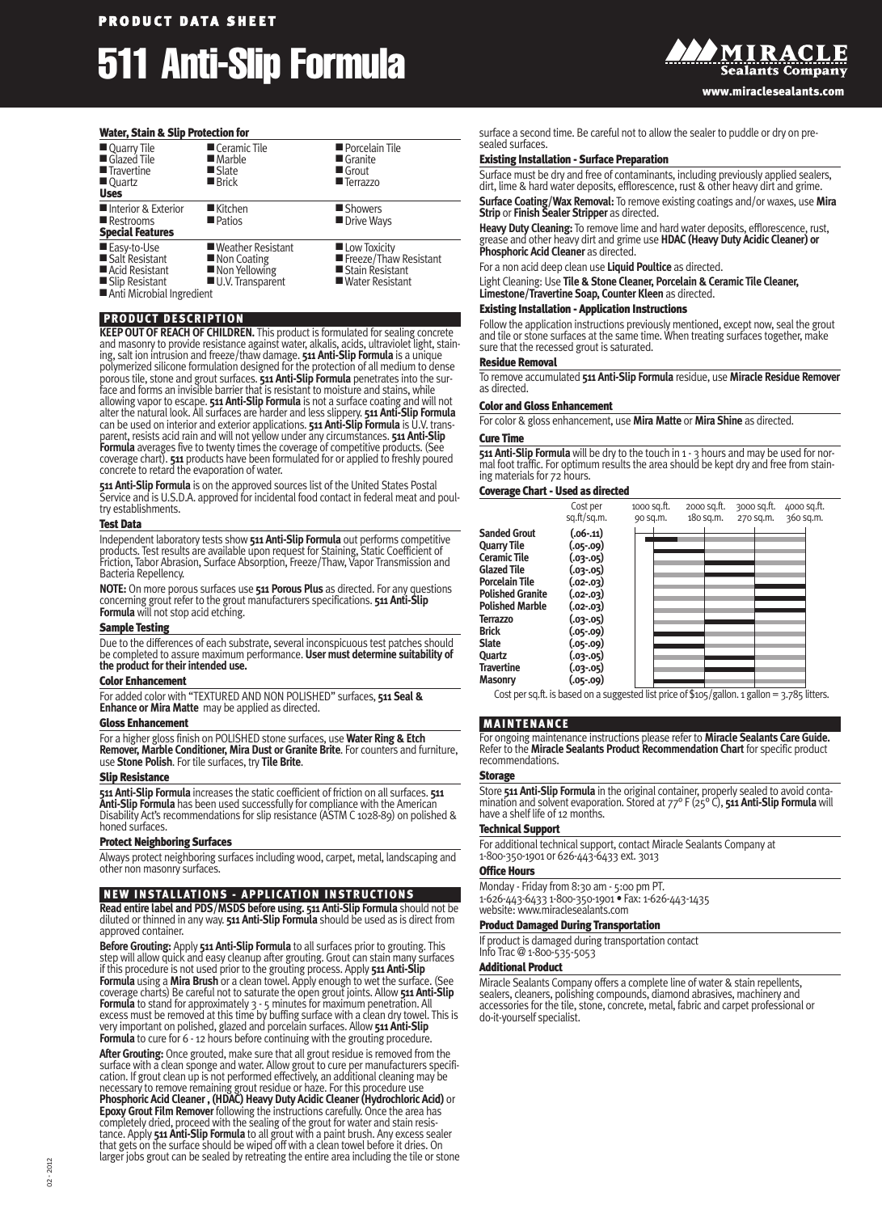# **P R O DU C T D A T A S HE E T 511 Anti-Slip Formula**

### **Water, Stain & Slip Protection for**

| Quarry Tile<br>Glazed Tile<br><b>Travertine</b><br>■ Quartz<br><b>Uses</b>                       | Ceramic Tile<br>$\blacksquare$ Marble<br>■ Slate<br>■ Brick               | Porcelain Tile<br>$\blacksquare$ Granite<br>Grout<br><b>Terrazzo</b>          |
|--------------------------------------------------------------------------------------------------|---------------------------------------------------------------------------|-------------------------------------------------------------------------------|
| Interior & Exterior<br>Restrooms<br><b>Special Features</b>                                      | $\blacksquare$ Kitchen<br><b>Patios</b>                                   | Showers<br>Drive Ways                                                         |
| ■ Easy-to-Use<br>Salt Resistant<br>Acid Resistant<br>Slip Resistant<br>Anti Microbial Ingredient | ■ Weather Resistant<br>■ Non Coating<br>Non Yellowing<br>U.V. Transparent | Low Toxicity<br>Freeze/Thaw Resistant<br>Stain Resistant<br>■ Water Resistant |

# **PRODUCT DESCRIPTION**

**KEEPOUTOF REACH OF CHILDREN.** This product is formulated for sealing concrete and masonry to provide resistance against water, alkalis, acids, ultraviolet light, staining, salt ion intrusion and freeze/thawdamage. **511 Anti-Slip Formula** is a unique polymerized silicone formulation designed for the protection of all medium to dense porous tile, stone and grout surfaces. **511 Anti-Slip Formula** penetrates into the surface and forms an invisible barrier that is resistant to moisture and stains, while allowing vapor to escape. **511 Anti-Slip Formula** is parent, resists acid rain andwill not yellowunder any circumstances. **511 Anti-Slip Formula** averages five to twenty times the coverage of competitive products. (See coverage chart). **511** products have been formulated for or applied to freshly poured concrete to retard the evaporation of water.

**511 Anti-Slip Formula** is on the approved sources list of the United States Postal Service and is U.S.D.A. approved for incidental food contact in federal meat and poul try establishments.

#### **Test Data**

Independent laboratory tests show **511 Anti-Slip Formula** out performs competitive<br>products. Test results are available upon request for Staining, Static Coefficient of<br>Friction. Tabor Abrasion. Surface Absorption. Freeze/ Bacteria Repellency.

**NOTE:** On more porous surfaces use **511 Porous Plus** as directed. For any questions concerning grout refer to the grout manufacturers specifications. **511 Anti-Slip Formula** will not stop acid etching.

# **Sample Testing**

Due to the differences of each substrate, several inconspicuous test patches should be completed to assure maximum performance. **User must determine suitability of the product fortheirintended use.**

#### **Color Enhancement**

For added colorwith "TEXTURED AND NON POLISHED" surfaces, **511 Seal & Enhance or Mira Matte** may be applied as directed.

#### **Gloss Enhancement**

For a higher gloss finish on POLISHED stone surfaces, use **Water Ring & Etch Remover, Marble Conditioner, Mira Dust or Granite Brite**. For counters and furniture, use **Stone Polish**. For tile surfaces, try **Tile Brite**.

#### **Slip Resistance**

**511 Anti-Slip Formula** increases the static coefficient of friction on all surfaces. **511 Anti-Slip Formula** has been used successfully for compliance with the American<br>Disability Act's recommendations for slip resistance (ASTM C 1028-89) on polished & honed surfaces.

# **Protect Neighboring Surfaces**

Always protect neighboring surfaces including wood, carpet, metal, landscaping and other non masonry surfaces.

# **NEW INSTALLATIONS - APPLICATION INSTRUCTIONS**

**Read entire label and PDS/MSDS before using. 511 Anti-Slip Formula** should not be<br>diluted or thinned in any way. 511 Anti-Slip Formula should be used as is direct from approved container.

**Before Grouting:** Apply 511 Anti-Slip Formula to all surfaces prior to grouting. This<br>step will allow quick and easy cleanup after grouting. Grout can stain many surfaces<br>if this procedure is not used prior to the groutin **Formula** using a **Mira Brush** or a clean towel. Apply enough towet the surface. (See coverage charts) Be careful not to saturate the open grout joints. Allow**511 Anti-Slip Formula** to stand for approximately 3 - 5 minutes for maximum penetration. All<br>excess must be removed at this time by buffing surface with a clean dry towel. This is<br>verv important on polished, glazed and porcelain surfac Formula to cure for 6 - 12 hours before continuing with the grouting procedure.

**After Grouting:** Once grouted, make sure that all grout residue is removed from the surface with a clean sponge and water. Allow grout to cure per manufacturers specifi-<br>cation. If grout clean up is not performed effectively, an additional cleaning may be<br>necessary to remove remaining grout residue or haz **Epoxy Grout Film Remover** following the instructions carefully. Once the area has<br>completely dried, proceed with the sealing of the grout for water and stain resistance. Apply **511 Anti-Slip Formula** to all grout with a paint brush. Any excess sealer<br>that gets on the surface should be wiped off with a clean towel before it dries. On<br>larger iobs grout can be sealed by retreating the surface a second time. Be careful not to allow the sealer to puddle or dry on presealed surfaces.

#### **Existing Installation - Surface Preparation**

Surface must be dry and free of contaminants, including previously applied sealers,<br>dirt, lime & hard water deposits, efflorescence, rust & other heavy dirt and grime. **Surface Coating/Wax Removal:** To remove existing coatings and/orwaxes, use **Mira Strip** or **Finish Sealer Stripper** as directed.

Heavy Duty Cleaning: To remove lime and hard water deposits, efflorescence, rust,<br>grease and other heavy dirt and grime use HDAC (Heavy Duty Acidic Cleaner) or<br>Phosphoric Acid Cleaner as directed.

For a non acid deep clean use **Liquid Poultice** as directed.

Light Cleaning: Use **Tile & Stone Cleaner, Porcelain & Ceramic Tile Cleaner, Limestone/Travertine Soap, Counter Kleen** as directed.

# **Existing Installation - Application Instructions**

Followthe application instructions previously mentioned, except now, seal the grout and tile or stone surfaces at the same time. When treating surfaces together, make sure that the recessed grout is saturated.

#### **Residue Removal**

To remove accumulated **511 Anti-Slip Formula** residue, use **Miracle Residue Remover** as directed.

#### **Color and Gloss Enhancement**

For color & gloss enhancement, use **Mira Matte** or **Mira Shine** as directed. **Cure Time**

**511 Anti-Slip Formula** will be dry to the touch in 1 - 3 hours and may be used for nor-<br>mal foot traffic. For optimum results the area should be kept dry and free from staining materials for 72 hours.

#### **Coverage Chart-Used as directed**

|                                                                                                                                                                                                                                                                                 | Cost per<br>sq.ft/sq.m.                                                                                                                                                       | 1000 sq.ft.<br>90 sq.m. | 2000 sq.ft.<br>180 sq.m. | 3000 sq.ft.<br>270 sq.m. | 4000 sq.ft.<br>360 sq.m. |
|---------------------------------------------------------------------------------------------------------------------------------------------------------------------------------------------------------------------------------------------------------------------------------|-------------------------------------------------------------------------------------------------------------------------------------------------------------------------------|-------------------------|--------------------------|--------------------------|--------------------------|
| <b>Sanded Grout</b><br><b>Quarry Tile</b><br><b>Ceramic Tile</b><br><b>Glazed Tile</b><br><b>Porcelain Tile</b><br><b>Polished Granite</b><br><b>Polished Marble</b><br><b>Terrazzo</b><br><b>Brick</b><br><b>Slate</b><br><b>Ouartz</b><br><b>Travertine</b><br><b>Masonry</b> | $(.06-.11)$<br>(.05-.09)<br>(.03-.05)<br>(.03-.05)<br>$(.02-.03)$<br>$(.02-.03)$<br>$(.02-.03)$<br>(.03-.05)<br>(.05-.09)<br>(.05-.09)<br>(.03-.05)<br>(.03-.05)<br>(05-.09.) |                         |                          |                          |                          |

Cost per sq.ft. is based on a suggested list price of  $$105/gallon. 1$  gallon = 3.785 litters.

#### **MAINTENANCE**

For ongoing maintenance instructions please refer to **Miracle Sealants Care Guide.** Refer to the **Miracle Sealants Product Recommendation Chart** for specific product recommendations.

### **Storage**

Store **511 Anti-Slip Formula** in the original container, properly sealed to avoid conta mination and solvent evaporation. Stored at 77° F (25° C), **511 Anti-Slip Formula**will have a shelf life of 12 months.

# **Technical Support**

For additional technical support, contact Miracle Sealants Company at 1-800-350-1901 or 626-443-6433 ext. 3013

#### **Office Hours**

Monday - Friday from 8:30 am - 5:00 pm PT. 1-626-443-6433 1-800-350-1901 • Fax: 1-626-443-1435 website: www.miraclesealants.com

#### **Product Damaged During Transportation**

If product is damaged during transportation contact Info Trac @ 1-800-535-5053

#### **Additional Product**

Miracle Sealants Company offers a complete line of water & stain repellents, sealers, cleaners, polishing compounds, diamond abrasives, machinery and accessories for the tile, stone, concrete, metal, fabric and carpet professional or do-it-yourself specialist.